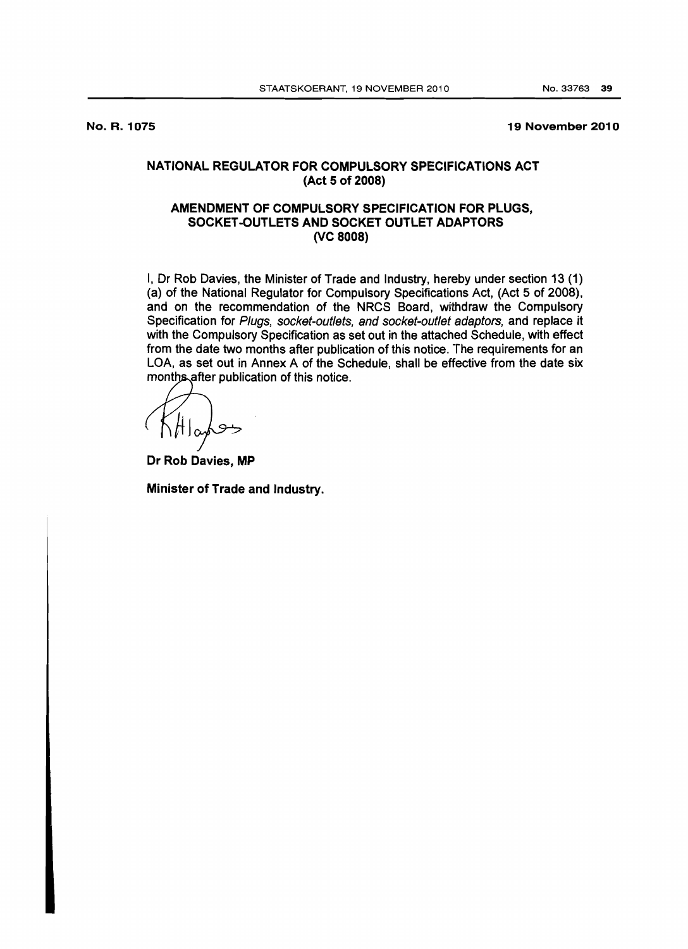No. R. 1075

19 November 2010

## NATIONAL REGULATOR FOR COMPULSORY SPECIFICATIONS ACT (Act 5 of 2008)

## AMENDMENT OF COMPULSORY SPECIFICATION FOR PLUGS, SOCKET-OUTLETS AND SOCKET OUTLET ADAPTORS (VC 8008)

I, Dr Rob Davies, the Minister of Trade and Industry, hereby under section 13 (1) (a) of the National Regulator for Compulsory Specifications Act, (Act 5 of 2008), and on the recommendation of the NRCS Board, withdraw the Compulsory Specification for Plugs, socket-outlets, and socket-outlet adaptors, and replace it with the Compulsory Specification as set out in the attached Schedule, with effect from the date two months after publication of this notice. The requirements for an LOA, as set out in Annex A of the Schedule, shall be effective from the date six months after publication of this notice.

 $\alpha$ 

Dr Rob Davies, MP

Minister of Trade and Industry.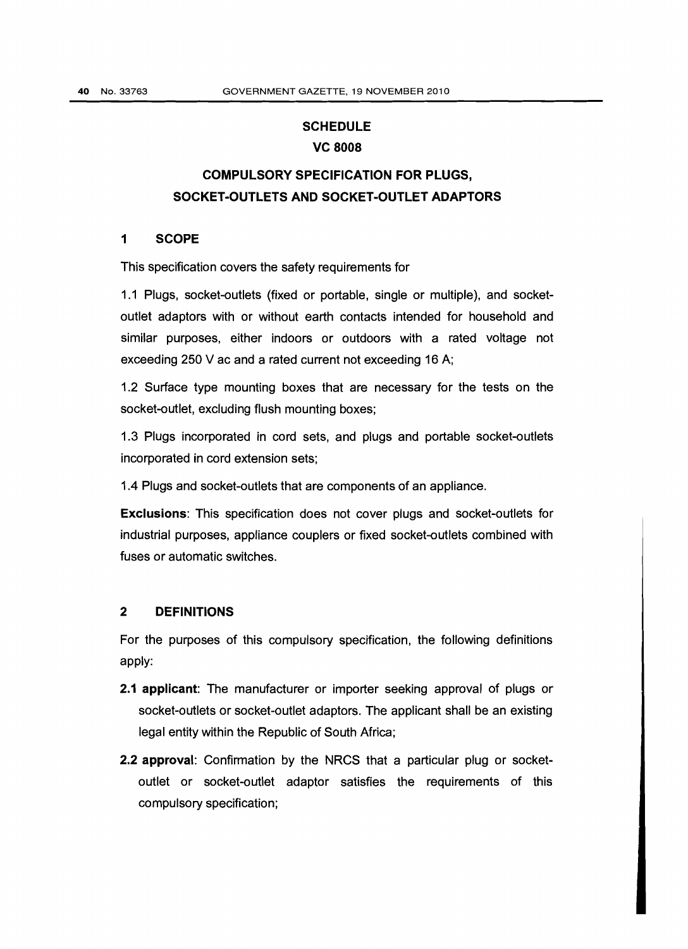# **SCHEDULE** VC 8008

# COMPULSORY SPECIFICATION FOR PLUGS, SOCKET-OUTLETS AND SOCKET-OUTLET ADAPTORS

# 1 SCOPE

This specification covers the safety requirements for

1.1 Plugs, socket-outlets (fixed or portable, single or multiple), and socketoutlet adaptors with or without earth contacts intended for household and similar purposes, either indoors or outdoors with a rated voltage not exceeding 250 V ac and a rated current not exceeding 16 A;

1.2 Surface type mounting boxes that are necessary for the tests on the socket-outlet, excluding flush mounting boxes;

1.3 Plugs incorporated in cord sets, and plugs and portable socket-outlets incorporated in cord extension sets;

1.4 Plugs and socket-outlets that are components of an appliance.

Exclusions: This specification does not cover plugs and socket-outlets for industrial purposes, appliance couplers or fixed socket-outlets combined with fuses or automatic switches.

#### 2 DEFINITIONS

For the purposes of this compulsory specification, the following definitions apply:

- 2.1 applicant: The manufacturer or importer seeking approval of plugs or socket-outlets or socket-outlet adaptors. The applicant shall be an existing legal entity within the Republic of South Africa;
- 2.2 approval: Confirmation by the NRCS that a particular plug or socketoutlet or socket-outlet adaptor satisfies the requirements of this compulsory specification;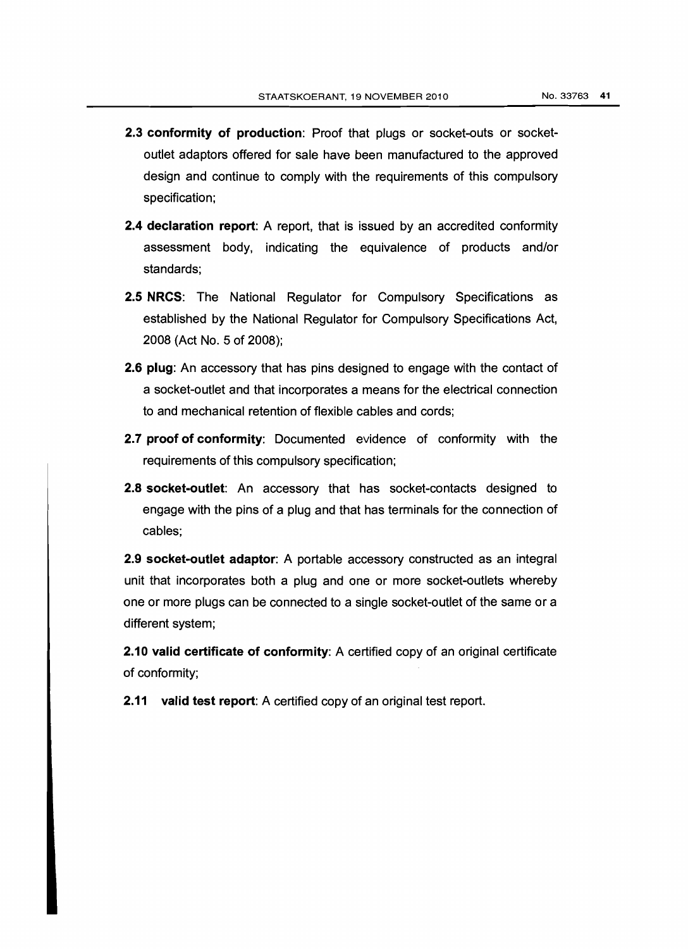- 2.3 conformity of production: Proof that plugs or socket-outs or socketoutlet adaptors offered for sale have been manufactured to the approved design and continue to comply with the requirements of this compulsory specification;
- **2.4 declaration report:** A report, that is issued by an accredited conformity assessment body, indicating the equivalence of products and/or standards;
- 2.5 NRCS: The National Regulator for Compulsory Specifications as established by the National Regulator for Compulsory Specifications Act, 2008 (Act No.5 of 2008);
- 2.6 plug: An accessory that has pins designed to engage with the contact of a socket-outlet and that incorporates a means for the electrical connection to and mechanical retention of flexible cables and cords;
- 2.7 proof of conformity: Documented evidence of conformity with the requirements of this compulsory specification;
- 2.8 socket-outlet: An accessory that has socket-contacts designed to engage with the pins of a plug and that has terminals for the connection of cables;

2.9 socket-outlet adaptor: A portable accessory constructed as an integral unit that incorporates both a plug and one or more socket-outlets whereby one or more plugs can be connected to a single socket-outlet of the same or a different system;

**2.10 valid certificate of conformity**: A certified copy of an original certificate of conformity;

2.11 valid test report: A certified copy of an original test report.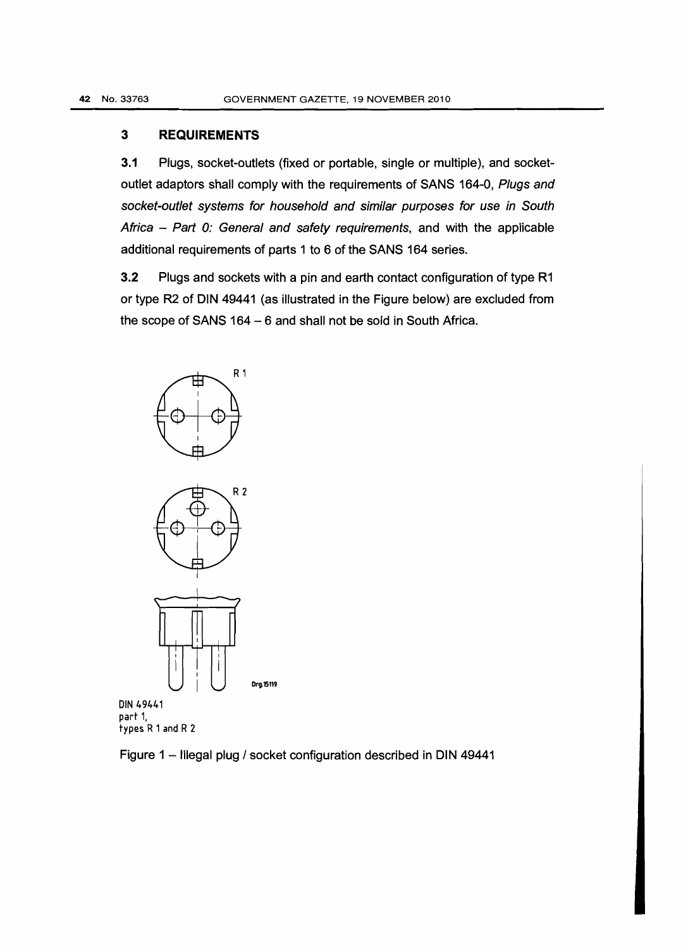## **3 REQUIREMENTS**

3.1 Plugs, socket-outlets (fixed or portable, single or multiple), and socketoutlet adaptors shall comply with the requirements of SANS 164-0, Plugs and socket-outlet systems for household and similar purposes for use in South Africa - Part 0: General and safety requirements, and with the applicable additional requirements of parts 1 to 6 of the SANS 164 series.

3.2 Plugs and sockets with a pin and earth contact configuration of type R1 or type R2 of DIN 49441 (as illustrated in the Figure below) are excluded from the scope of SANS  $164 - 6$  and shall not be sold in South Africa.





DIN 49441 part 1, types R1and R 2

Figure 1 - Illegal plug / socket configuration described in DIN 49441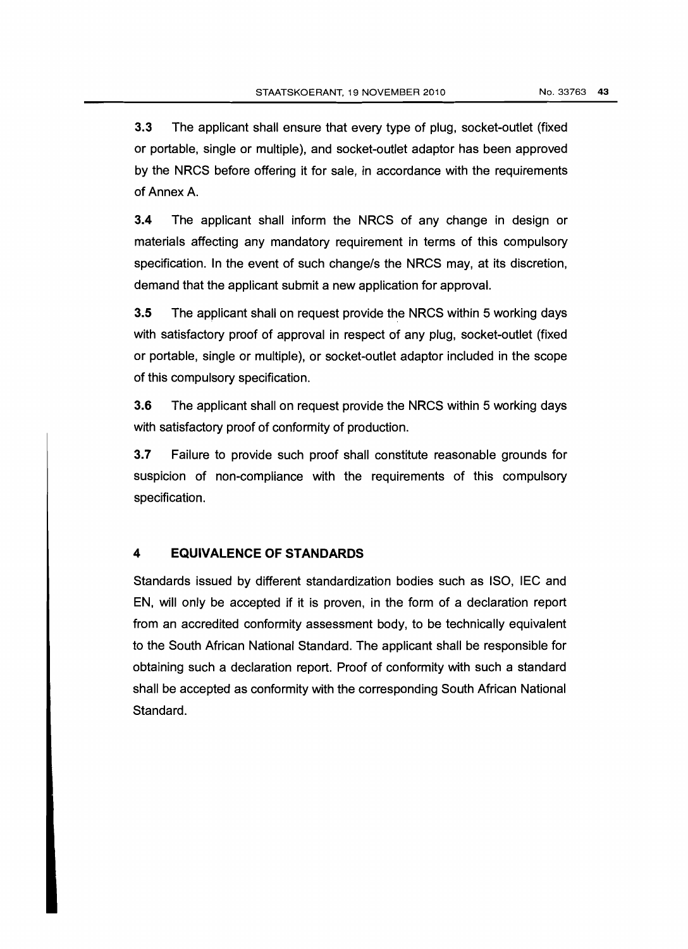3.3 The applicant shall ensure that every type of plug, socket-outlet (fixed or portable, single or multiple), and socket-outlet adaptor has been approved by the NRCS before offering it for sale, in accordance with the requirements of Annex A.

3.4 The applicant shall inform the NRCS of any change in design or materials affecting any mandatory requirement in terms of this compulsory specification. In the event of such change/s the NRCS may, at its discretion, demand that the applicant submit a new application for approval.

3.5 The applicant shall on request provide the NRCS within 5 working days with satisfactory proof of approval in respect of any plug, socket-outlet (fixed or portable, single or multiple), or socket-outlet adaptor included in the scope of this compulsory specification.

3.6 The applicant shall on request provide the NRCS within 5 working days with satisfactory proof of conformity of production.

3.7 Failure to provide such proof shall constitute reasonable grounds for suspicion of non-compliance with the requirements of this compulsory specification.

## **4 EQUIVALENCE OF STANDARDS**

Standards issued by different standardization bodies such as ISO, IEC and EN, will only be accepted if it is proven, in the form of a declaration report from an accredited conformity assessment body, to be technically equivalent to the South African National Standard. The applicant shall be responsible for obtaining such a declaration report. Proof of conformity with such a standard shall be accepted as conformity with the corresponding South African National Standard.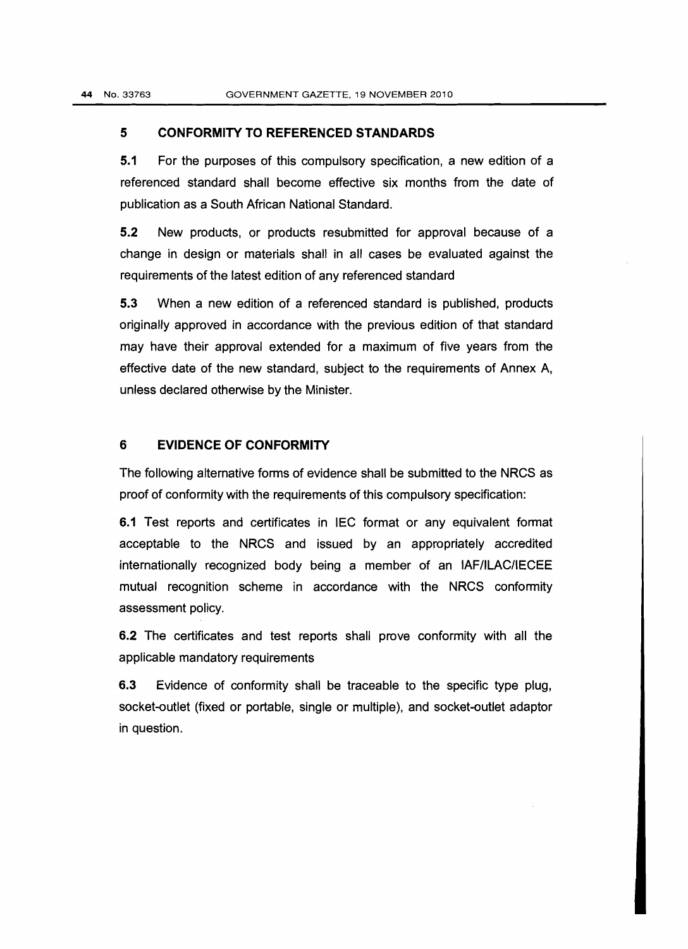#### **5 CONFORMITY TO REFERENCED STANDARDS**

5.1 For the purposes of this compulsory specification, a new edition of a referenced standard shall become effective six months from the date of publication as a South African National Standard.

5.2 New products, or products resubmitted for approval because of a change in design or materials shall in all cases be evaluated against the requirements of the latest edition of any referenced standard

5.3 When a new edition of a referenced standard is published, products originally approved in accordance with the previous edition of that standard may have their approval extended for a maximum of five years from the effective date of the new standard, subject to the requirements of Annex A, unless declared otherwise by the Minister.

#### **6 EVIDENCE OF CONFORMITY**

The following alternative forms of evidence shall be submitted to the NRCS as proof of conformity with the requirements of this compulsory specification:

6.1 Test reports and certificates in IEC format or any equivalent format acceptable to the NRCS and issued by an appropriately accredited internationally recognized body being a member of an IAF/ILAC/IECEE mutual recognition scheme in accordance with the NRCS conformity assessment policy.

6.2 The certificates and test reports shall prove conformity with all the applicable mandatory requirements

6.3 Evidence of conformity shall be traceable to the specific type plug, socket-outlet (fixed or portable, single or multiple), and socket-outlet adaptor in question.